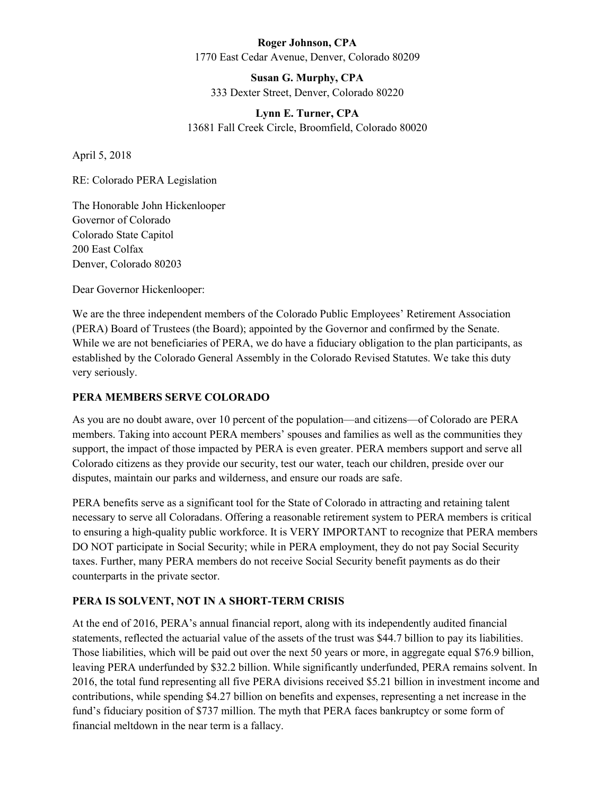#### **Roger Johnson, CPA** 1770 East Cedar Avenue, Denver, Colorado 80209

**Susan G. Murphy, CPA** 333 Dexter Street, Denver, Colorado 80220

# **Lynn E. Turner, CPA** 13681 Fall Creek Circle, Broomfield, Colorado 80020

April 5, 2018

RE: Colorado PERA Legislation

The Honorable John Hickenlooper Governor of Colorado Colorado State Capitol 200 East Colfax Denver, Colorado 80203

Dear Governor Hickenlooper:

We are the three independent members of the Colorado Public Employees' Retirement Association (PERA) Board of Trustees (the Board); appointed by the Governor and confirmed by the Senate. While we are not beneficiaries of PERA, we do have a fiduciary obligation to the plan participants, as established by the Colorado General Assembly in the Colorado Revised Statutes. We take this duty very seriously.

### **PERA MEMBERS SERVE COLORADO**

As you are no doubt aware, over 10 percent of the population—and citizens—of Colorado are PERA members. Taking into account PERA members' spouses and families as well as the communities they support, the impact of those impacted by PERA is even greater. PERA members support and serve all Colorado citizens as they provide our security, test our water, teach our children, preside over our disputes, maintain our parks and wilderness, and ensure our roads are safe.

PERA benefits serve as a significant tool for the State of Colorado in attracting and retaining talent necessary to serve all Coloradans. Offering a reasonable retirement system to PERA members is critical to ensuring a high-quality public workforce. It is VERY IMPORTANT to recognize that PERA members DO NOT participate in Social Security; while in PERA employment, they do not pay Social Security taxes. Further, many PERA members do not receive Social Security benefit payments as do their counterparts in the private sector.

## **PERA IS SOLVENT, NOT IN A SHORT-TERM CRISIS**

At the end of 2016, PERA's annual financial report, along with its independently audited financial statements, reflected the actuarial value of the assets of the trust was \$44.7 billion to pay its liabilities. Those liabilities, which will be paid out over the next 50 years or more, in aggregate equal \$76.9 billion, leaving PERA underfunded by \$32.2 billion. While significantly underfunded, PERA remains solvent. In 2016, the total fund representing all five PERA divisions received \$5.21 billion in investment income and contributions, while spending \$4.27 billion on benefits and expenses, representing a net increase in the fund's fiduciary position of \$737 million. The myth that PERA faces bankruptcy or some form of financial meltdown in the near term is a fallacy.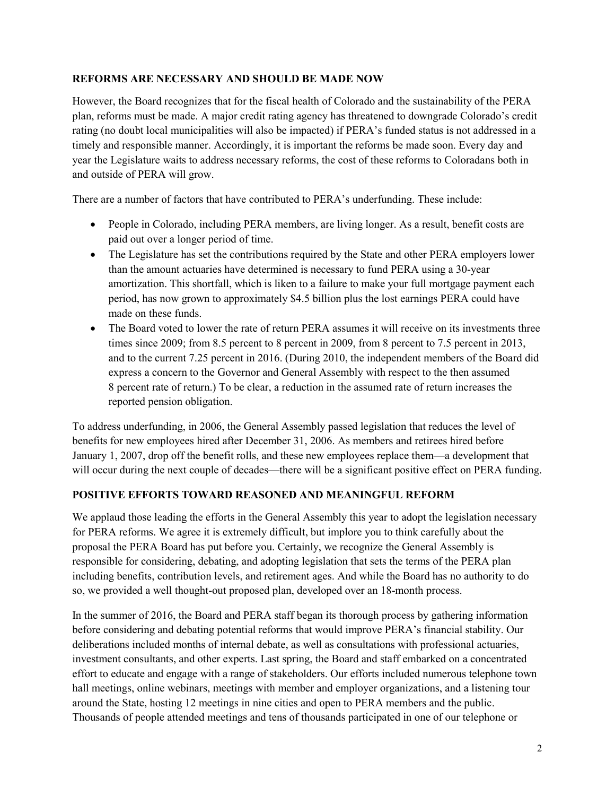#### **REFORMS ARE NECESSARY AND SHOULD BE MADE NOW**

However, the Board recognizes that for the fiscal health of Colorado and the sustainability of the PERA plan, reforms must be made. A major credit rating agency has threatened to downgrade Colorado's credit rating (no doubt local municipalities will also be impacted) if PERA's funded status is not addressed in a timely and responsible manner. Accordingly, it is important the reforms be made soon. Every day and year the Legislature waits to address necessary reforms, the cost of these reforms to Coloradans both in and outside of PERA will grow.

There are a number of factors that have contributed to PERA's underfunding. These include:

- People in Colorado, including PERA members, are living longer. As a result, benefit costs are paid out over a longer period of time.
- The Legislature has set the contributions required by the State and other PERA employers lower than the amount actuaries have determined is necessary to fund PERA using a 30-year amortization. This shortfall, which is liken to a failure to make your full mortgage payment each period, has now grown to approximately \$4.5 billion plus the lost earnings PERA could have made on these funds.
- The Board voted to lower the rate of return PERA assumes it will receive on its investments three times since 2009; from 8.5 percent to 8 percent in 2009, from 8 percent to 7.5 percent in 2013, and to the current 7.25 percent in 2016. (During 2010, the independent members of the Board did express a concern to the Governor and General Assembly with respect to the then assumed 8 percent rate of return.) To be clear, a reduction in the assumed rate of return increases the reported pension obligation.

To address underfunding, in 2006, the General Assembly passed legislation that reduces the level of benefits for new employees hired after December 31, 2006. As members and retirees hired before January 1, 2007, drop off the benefit rolls, and these new employees replace them—a development that will occur during the next couple of decades—there will be a significant positive effect on PERA funding.

#### **POSITIVE EFFORTS TOWARD REASONED AND MEANINGFUL REFORM**

We applaud those leading the efforts in the General Assembly this year to adopt the legislation necessary for PERA reforms. We agree it is extremely difficult, but implore you to think carefully about the proposal the PERA Board has put before you. Certainly, we recognize the General Assembly is responsible for considering, debating, and adopting legislation that sets the terms of the PERA plan including benefits, contribution levels, and retirement ages. And while the Board has no authority to do so, we provided a well thought-out proposed plan, developed over an 18-month process.

In the summer of 2016, the Board and PERA staff began its thorough process by gathering information before considering and debating potential reforms that would improve PERA's financial stability. Our deliberations included months of internal debate, as well as consultations with professional actuaries, investment consultants, and other experts. Last spring, the Board and staff embarked on a concentrated effort to educate and engage with a range of stakeholders. Our efforts included numerous telephone town hall meetings, online webinars, meetings with member and employer organizations, and a listening tour around the State, hosting 12 meetings in nine cities and open to PERA members and the public. Thousands of people attended meetings and tens of thousands participated in one of our telephone or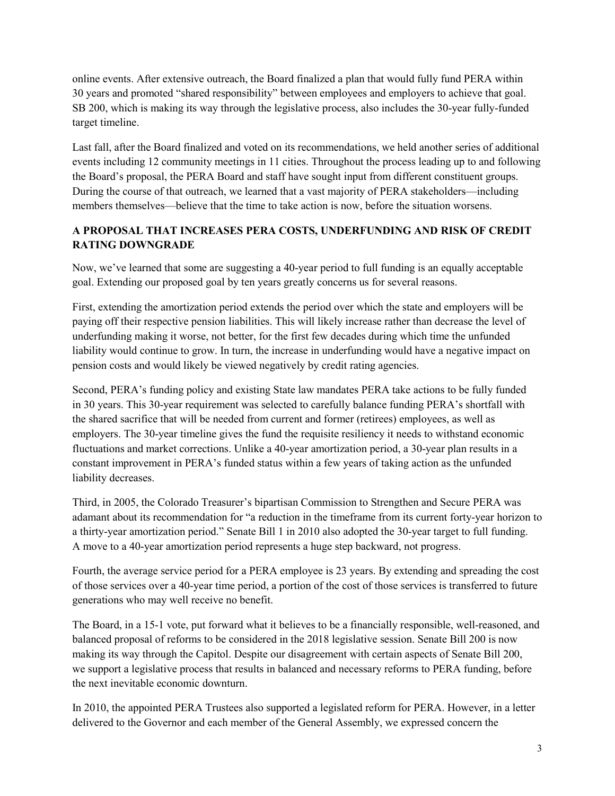online events. After extensive outreach, the Board finalized a plan that would fully fund PERA within 30 years and promoted "shared responsibility" between employees and employers to achieve that goal. SB 200, which is making its way through the legislative process, also includes the 30-year fully-funded target timeline.

Last fall, after the Board finalized and voted on its recommendations, we held another series of additional events including 12 community meetings in 11 cities. Throughout the process leading up to and following the Board's proposal, the PERA Board and staff have sought input from different constituent groups. During the course of that outreach, we learned that a vast majority of PERA stakeholders—including members themselves—believe that the time to take action is now, before the situation worsens.

## **A PROPOSAL THAT INCREASES PERA COSTS, UNDERFUNDING AND RISK OF CREDIT RATING DOWNGRADE**

Now, we've learned that some are suggesting a 40-year period to full funding is an equally acceptable goal. Extending our proposed goal by ten years greatly concerns us for several reasons.

First, extending the amortization period extends the period over which the state and employers will be paying off their respective pension liabilities. This will likely increase rather than decrease the level of underfunding making it worse, not better, for the first few decades during which time the unfunded liability would continue to grow. In turn, the increase in underfunding would have a negative impact on pension costs and would likely be viewed negatively by credit rating agencies.

Second, PERA's funding policy and existing State law mandates PERA take actions to be fully funded in 30 years. This 30-year requirement was selected to carefully balance funding PERA's shortfall with the shared sacrifice that will be needed from current and former (retirees) employees, as well as employers. The 30-year timeline gives the fund the requisite resiliency it needs to withstand economic fluctuations and market corrections. Unlike a 40-year amortization period, a 30-year plan results in a constant improvement in PERA's funded status within a few years of taking action as the unfunded liability decreases.

Third, in 2005, the Colorado Treasurer's bipartisan Commission to Strengthen and Secure PERA was adamant about its recommendation for "a reduction in the timeframe from its current forty-year horizon to a thirty-year amortization period." Senate Bill 1 in 2010 also adopted the 30-year target to full funding. A move to a 40-year amortization period represents a huge step backward, not progress.

Fourth, the average service period for a PERA employee is 23 years. By extending and spreading the cost of those services over a 40-year time period, a portion of the cost of those services is transferred to future generations who may well receive no benefit.

The Board, in a 15-1 vote, put forward what it believes to be a financially responsible, well-reasoned, and balanced proposal of reforms to be considered in the 2018 legislative session. Senate Bill 200 is now making its way through the Capitol. Despite our disagreement with certain aspects of Senate Bill 200, we support a legislative process that results in balanced and necessary reforms to PERA funding, before the next inevitable economic downturn.

In 2010, the appointed PERA Trustees also supported a legislated reform for PERA. However, in a letter delivered to the Governor and each member of the General Assembly, we expressed concern the